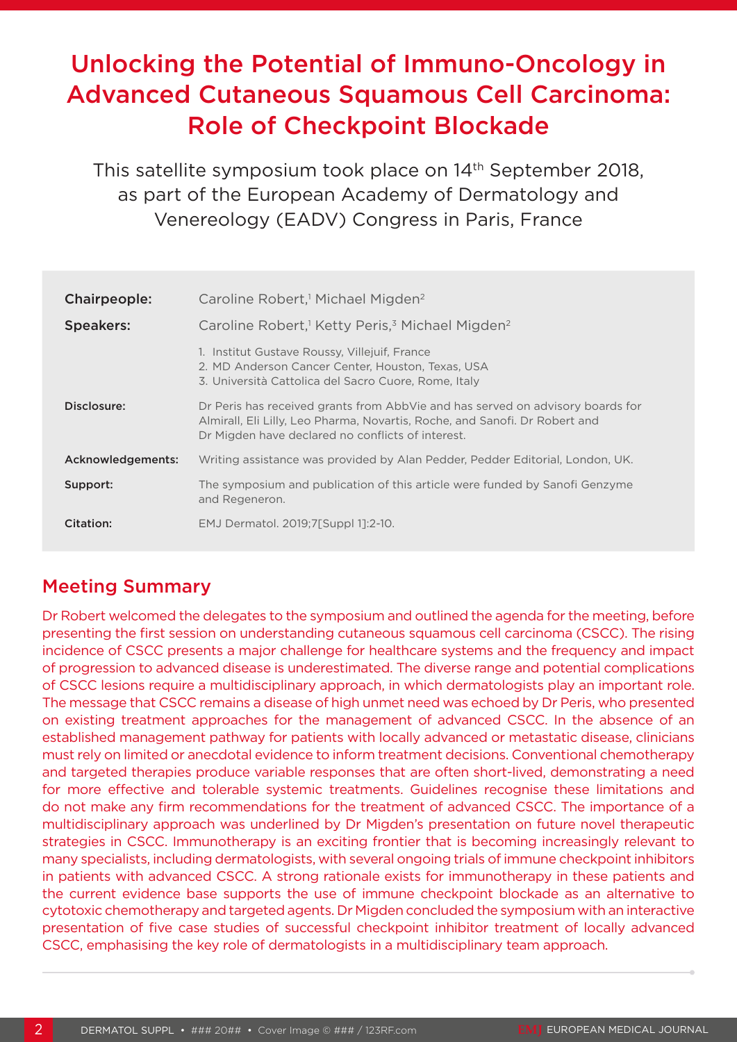# Unlocking the Potential of Immuno-Oncology in Advanced Cutaneous Squamous Cell Carcinoma: Role of Checkpoint Blockade

This satellite symposium took place on 14<sup>th</sup> September 2018, as part of the European Academy of Dermatology and Venereology (EADV) Congress in Paris, France

| Chairpeople:      | Caroline Robert, <sup>1</sup> Michael Migden <sup>2</sup>                                                                                                                                                          |
|-------------------|--------------------------------------------------------------------------------------------------------------------------------------------------------------------------------------------------------------------|
| <b>Speakers:</b>  | Caroline Robert, <sup>1</sup> Ketty Peris, <sup>3</sup> Michael Migden <sup>2</sup>                                                                                                                                |
|                   | 1. Institut Gustave Roussy, Villejuif, France<br>2. MD Anderson Cancer Center, Houston, Texas, USA<br>3. Università Cattolica del Sacro Cuore, Rome, Italy                                                         |
| Disclosure:       | Dr Peris has received grants from AbbVie and has served on advisory boards for<br>Almirall, Eli Lilly, Leo Pharma, Novartis, Roche, and Sanofi. Dr Robert and<br>Dr Migden have declared no conflicts of interest. |
| Acknowledgements: | Writing assistance was provided by Alan Pedder, Pedder Editorial, London, UK.                                                                                                                                      |
| Support:          | The symposium and publication of this article were funded by Sanofi Genzyme<br>and Regeneron.                                                                                                                      |
| Citation:         | EMJ Dermatol. 2019;7[Suppl 1]:2-10.                                                                                                                                                                                |

# Meeting Summary

Dr Robert welcomed the delegates to the symposium and outlined the agenda for the meeting, before presenting the first session on understanding cutaneous squamous cell carcinoma (CSCC). The rising incidence of CSCC presents a major challenge for healthcare systems and the frequency and impact of progression to advanced disease is underestimated. The diverse range and potential complications of CSCC lesions require a multidisciplinary approach, in which dermatologists play an important role. The message that CSCC remains a disease of high unmet need was echoed by Dr Peris, who presented on existing treatment approaches for the management of advanced CSCC. In the absence of an established management pathway for patients with locally advanced or metastatic disease, clinicians must rely on limited or anecdotal evidence to inform treatment decisions. Conventional chemotherapy and targeted therapies produce variable responses that are often short-lived, demonstrating a need for more effective and tolerable systemic treatments. Guidelines recognise these limitations and do not make any firm recommendations for the treatment of advanced CSCC. The importance of a multidisciplinary approach was underlined by Dr Migden's presentation on future novel therapeutic strategies in CSCC. Immunotherapy is an exciting frontier that is becoming increasingly relevant to many specialists, including dermatologists, with several ongoing trials of immune checkpoint inhibitors in patients with advanced CSCC. A strong rationale exists for immunotherapy in these patients and the current evidence base supports the use of immune checkpoint blockade as an alternative to cytotoxic chemotherapy and targeted agents. Dr Migden concluded the symposium with an interactive presentation of five case studies of successful checkpoint inhibitor treatment of locally advanced CSCC, emphasising the key role of dermatologists in a multidisciplinary team approach.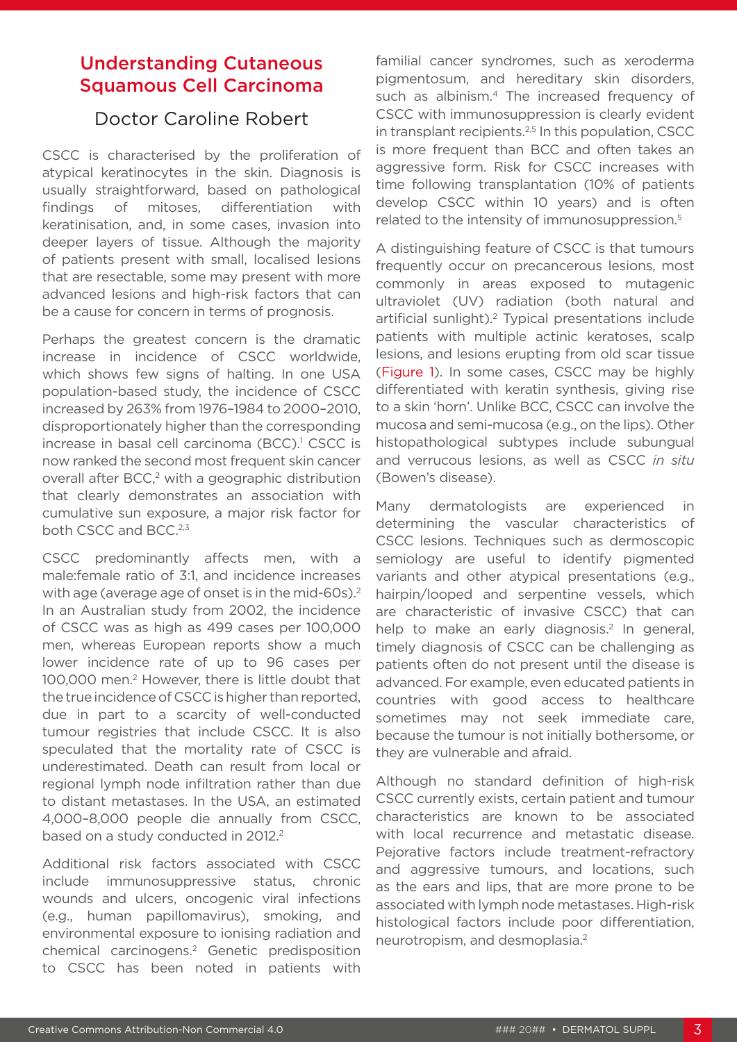### Understanding Cutaneous Squamous Cell Carcinoma

### Doctor Caroline Robert

CSCC is characterised by the proliferation of atypical keratinocytes in the skin. Diagnosis is usually straightforward, based on pathological findings of mitoses, differentiation with keratinisation, and, in some cases, invasion into deeper layers of tissue. Although the majority of patients present with small, localised lesions that are resectable, some may present with more advanced lesions and high-risk factors that can be a cause for concern in terms of prognosis.

Perhaps the greatest concern is the dramatic increase in incidence of CSCC worldwide, which shows few signs of halting. In one USA population-based study, the incidence of CSCC increased by 263% from 1976–1984 to 2000–2010, disproportionately higher than the corresponding increase in basal cell carcinoma (BCC).<sup>1</sup> CSCC is now ranked the second most frequent skin cancer overall after BCC,<sup>2</sup> with a geographic distribution that clearly demonstrates an association with cumulative sun exposure, a major risk factor for both CSCC and BCC.<sup>2,3</sup>

CSCC predominantly affects men, with a male:female ratio of 3:1, and incidence increases with age (average age of onset is in the mid-60s).<sup>2</sup> In an Australian study from 2002, the incidence of CSCC was as high as 499 cases per 100,000 men, whereas European reports show a much lower incidence rate of up to 96 cases per 100,000 men.2 However, there is little doubt that the true incidence of CSCC is higher than reported, due in part to a scarcity of well-conducted tumour registries that include CSCC. It is also speculated that the mortality rate of CSCC is underestimated. Death can result from local or regional lymph node infiltration rather than due to distant metastases. In the USA, an estimated 4,000–8,000 people die annually from CSCC, based on a study conducted in 2012.<sup>2</sup>

Additional risk factors associated with CSCC include immunosuppressive status, chronic wounds and ulcers, oncogenic viral infections (e.g., human papillomavirus), smoking, and environmental exposure to ionising radiation and chemical carcinogens.2 Genetic predisposition to CSCC has been noted in patients with

familial cancer syndromes, such as xeroderma pigmentosum, and hereditary skin disorders, such as albinism.<sup>4</sup> The increased frequency of CSCC with immunosuppression is clearly evident in transplant recipients.<sup>2,5</sup> In this population, CSCC is more frequent than BCC and often takes an aggressive form. Risk for CSCC increases with time following transplantation (10% of patients develop CSCC within 10 years) and is often related to the intensity of immunosuppression.<sup>5</sup>

A distinguishing feature of CSCC is that tumours frequently occur on precancerous lesions, most commonly in areas exposed to mutagenic ultraviolet (UV) radiation (both natural and artificial sunlight).2 Typical presentations include patients with multiple actinic keratoses, scalp lesions, and lesions erupting from old scar tissue (Figure 1). In some cases, CSCC may be highly differentiated with keratin synthesis, giving rise to a skin 'horn'. Unlike BCC, CSCC can involve the mucosa and semi-mucosa (e.g., on the lips). Other histopathological subtypes include subungual and verrucous lesions, as well as CSCC *in situ*  (Bowen's disease).

Many dermatologists are experienced in determining the vascular characteristics of CSCC lesions. Techniques such as dermoscopic semiology are useful to identify pigmented variants and other atypical presentations (e.g., hairpin/looped and serpentine vessels, which are characteristic of invasive CSCC) that can help to make an early diagnosis.<sup>2</sup> In general, timely diagnosis of CSCC can be challenging as patients often do not present until the disease is advanced. For example, even educated patients in countries with good access to healthcare sometimes may not seek immediate care, because the tumour is not initially bothersome, or they are vulnerable and afraid.

Although no standard definition of high-risk CSCC currently exists, certain patient and tumour characteristics are known to be associated with local recurrence and metastatic disease. Pejorative factors include treatment-refractory and aggressive tumours, and locations, such as the ears and lips, that are more prone to be associated with lymph node metastases. High-risk histological factors include poor differentiation, neurotropism, and desmoplasia.2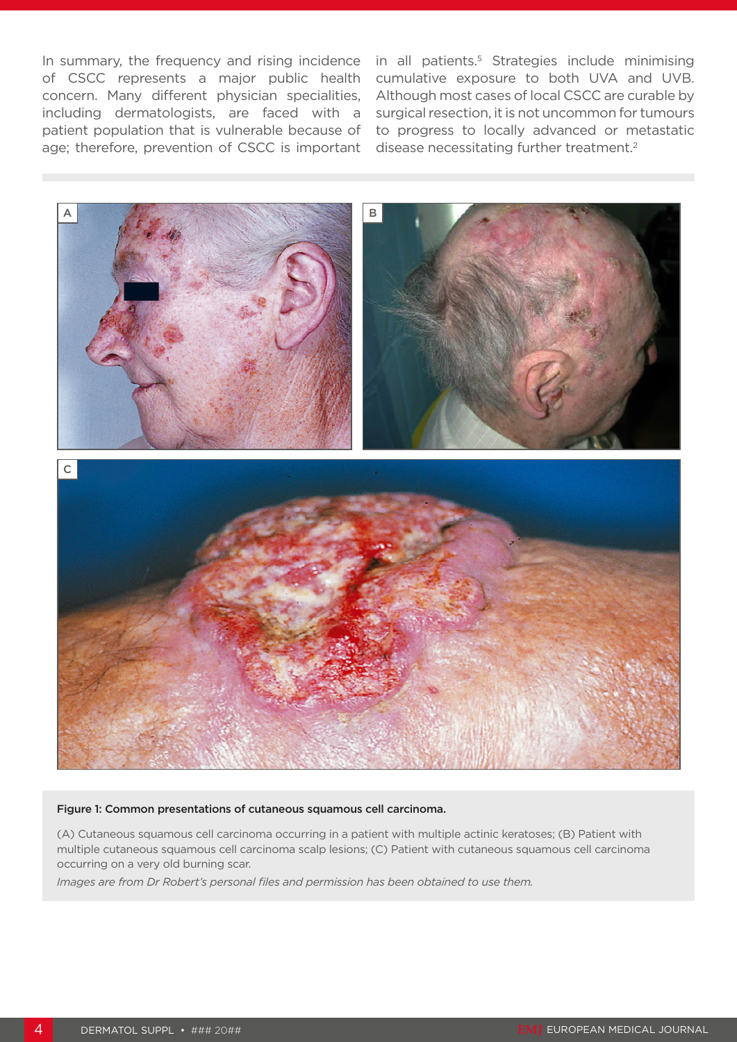In summary, the frequency and rising incidence in all patients.<sup>5</sup> Strategies include minimising of CSCC represents a major public health concern. Many different physician specialities, including dermatologists, are faced with a patient population that is vulnerable because of age; therefore, prevention of CSCC is important

cumulative exposure to both UVA and UVB. Although most cases of local CSCC are curable by surgical resection, it is not uncommon for tumours to progress to locally advanced or metastatic disease necessitating further treatment.<sup>2</sup>



#### Figure 1: Common presentations of cutaneous squamous cell carcinoma.

(A) Cutaneous squamous cell carcinoma occurring in a patient with multiple actinic keratoses; (B) Patient with multiple cutaneous squamous cell carcinoma scalp lesions; (C) Patient with cutaneous squamous cell carcinoma occurring on a very old burning scar.

*Images are from Dr Robert's personal files and permission has been obtained to use them.*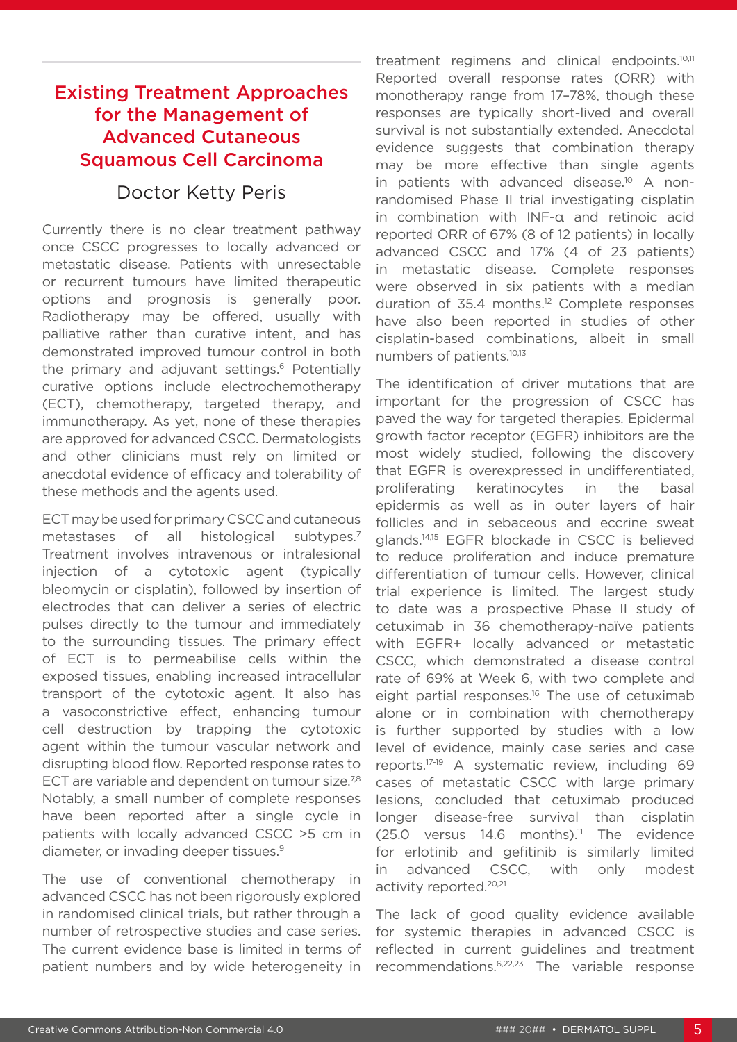# Existing Treatment Approaches for the Management of Advanced Cutaneous Squamous Cell Carcinoma

# Doctor Ketty Peris

Currently there is no clear treatment pathway once CSCC progresses to locally advanced or metastatic disease. Patients with unresectable or recurrent tumours have limited therapeutic options and prognosis is generally poor. Radiotherapy may be offered, usually with palliative rather than curative intent, and has demonstrated improved tumour control in both the primary and adjuvant settings.<sup>6</sup> Potentially curative options include electrochemotherapy (ECT), chemotherapy, targeted therapy, and immunotherapy. As yet, none of these therapies are approved for advanced CSCC. Dermatologists and other clinicians must rely on limited or anecdotal evidence of efficacy and tolerability of these methods and the agents used.

ECT may be used for primary CSCC and cutaneous metastases of all histological subtypes.<sup>7</sup> Treatment involves intravenous or intralesional injection of a cytotoxic agent (typically bleomycin or cisplatin), followed by insertion of electrodes that can deliver a series of electric pulses directly to the tumour and immediately to the surrounding tissues. The primary effect of ECT is to permeabilise cells within the exposed tissues, enabling increased intracellular transport of the cytotoxic agent. It also has a vasoconstrictive effect, enhancing tumour cell destruction by trapping the cytotoxic agent within the tumour vascular network and disrupting blood flow. Reported response rates to ECT are variable and dependent on tumour size.<sup>7,8</sup> Notably, a small number of complete responses have been reported after a single cycle in patients with locally advanced CSCC >5 cm in diameter, or invading deeper tissues.9

The use of conventional chemotherapy in advanced CSCC has not been rigorously explored in randomised clinical trials, but rather through a number of retrospective studies and case series. The current evidence base is limited in terms of patient numbers and by wide heterogeneity in

treatment regimens and clinical endpoints.10,11 Reported overall response rates (ORR) with monotherapy range from 17–78%, though these responses are typically short-lived and overall survival is not substantially extended. Anecdotal evidence suggests that combination therapy may be more effective than single agents in patients with advanced disease.<sup>10</sup> A nonrandomised Phase II trial investigating cisplatin in combination with INF-α and retinoic acid reported ORR of 67% (8 of 12 patients) in locally advanced CSCC and 17% (4 of 23 patients) in metastatic disease. Complete responses were observed in six patients with a median duration of 35.4 months.12 Complete responses have also been reported in studies of other cisplatin-based combinations, albeit in small numbers of patients.10,13

The identification of driver mutations that are important for the progression of CSCC has paved the way for targeted therapies. Epidermal growth factor receptor (EGFR) inhibitors are the most widely studied, following the discovery that EGFR is overexpressed in undifferentiated, proliferating keratinocytes in the basal epidermis as well as in outer layers of hair follicles and in sebaceous and eccrine sweat glands.14,15 EGFR blockade in CSCC is believed to reduce proliferation and induce premature differentiation of tumour cells. However, clinical trial experience is limited. The largest study to date was a prospective Phase II study of cetuximab in 36 chemotherapy-naïve patients with EGFR+ locally advanced or metastatic CSCC, which demonstrated a disease control rate of 69% at Week 6, with two complete and eight partial responses.<sup>16</sup> The use of cetuximab alone or in combination with chemotherapy is further supported by studies with a low level of evidence, mainly case series and case reports.17-19 A systematic review, including 69 cases of metastatic CSCC with large primary lesions, concluded that cetuximab produced longer disease-free survival than cisplatin  $(25.0 \text{ versus } 14.6 \text{ months})$ .<sup>11</sup> The evidence for erlotinib and gefitinib is similarly limited in advanced CSCC, with only modest activity reported.20,21

The lack of good quality evidence available for systemic therapies in advanced CSCC is reflected in current guidelines and treatment recommendations.6,22,23 The variable response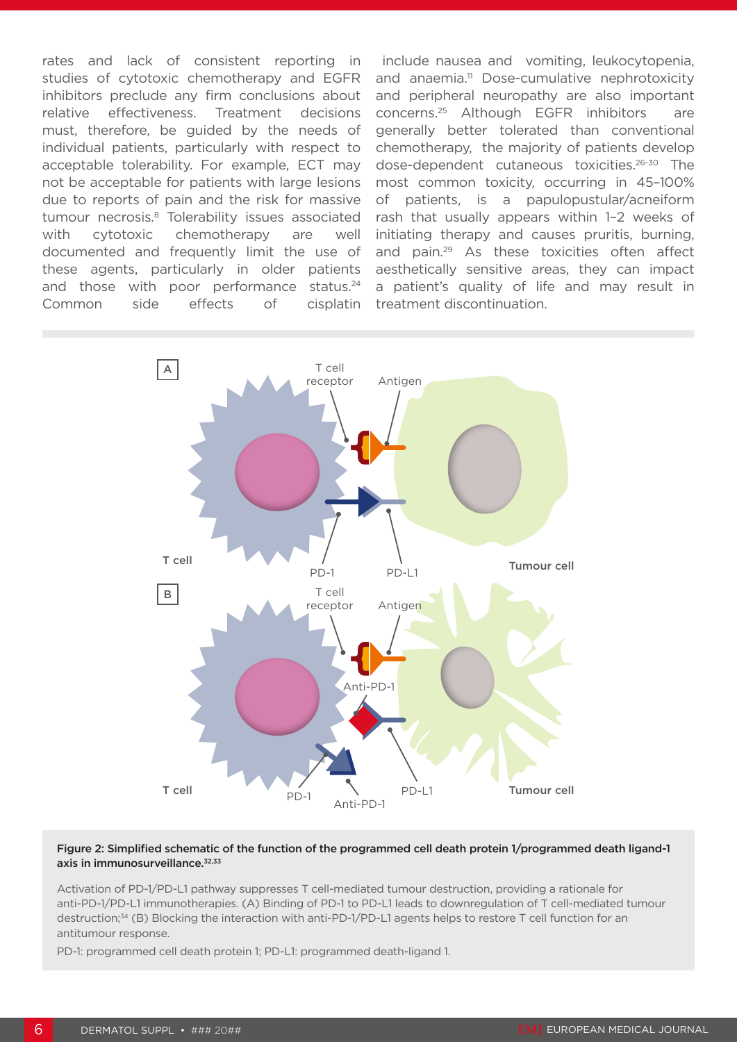rates and lack of consistent reporting in studies of cytotoxic chemotherapy and EGFR inhibitors preclude any firm conclusions about relative effectiveness. Treatment decisions must, therefore, be guided by the needs of individual patients, particularly with respect to acceptable tolerability. For example, ECT may not be acceptable for patients with large lesions due to reports of pain and the risk for massive tumour necrosis.<sup>8</sup> Tolerability issues associated with cytotoxic chemotherapy are well documented and frequently limit the use of these agents, particularly in older patients and those with poor performance status.<sup>24</sup> Common side effects of cisplatin

 include nausea and vomiting, leukocytopenia, and anaemia.<sup>11</sup> Dose-cumulative nephrotoxicity and peripheral neuropathy are also important concerns.25 Although EGFR inhibitors are generally better tolerated than conventional chemotherapy, the majority of patients develop dose-dependent cutaneous toxicities.26-30 The most common toxicity, occurring in 45–100% of patients, is a papulopustular/acneiform rash that usually appears within 1–2 weeks of initiating therapy and causes pruritis, burning, and pain.29 As these toxicities often affect aesthetically sensitive areas, they can impact a patient's quality of life and may result in treatment discontinuation.



#### Figure 2: Simplified schematic of the function of the programmed cell death protein 1/programmed death ligand-1 axis in immunosurveillance.<sup>32,33</sup>

Activation of PD-1/PD-L1 pathway suppresses T cell-mediated tumour destruction, providing a rationale for anti-PD-1/PD-L1 immunotherapies. (A) Binding of PD-1 to PD-L1 leads to downregulation of T cell-mediated tumour destruction;<sup>34</sup> (B) Blocking the interaction with anti-PD-1/PD-L1 agents helps to restore T cell function for an antitumour response.

PD-1: programmed cell death protein 1; PD-L1: programmed death-ligand 1.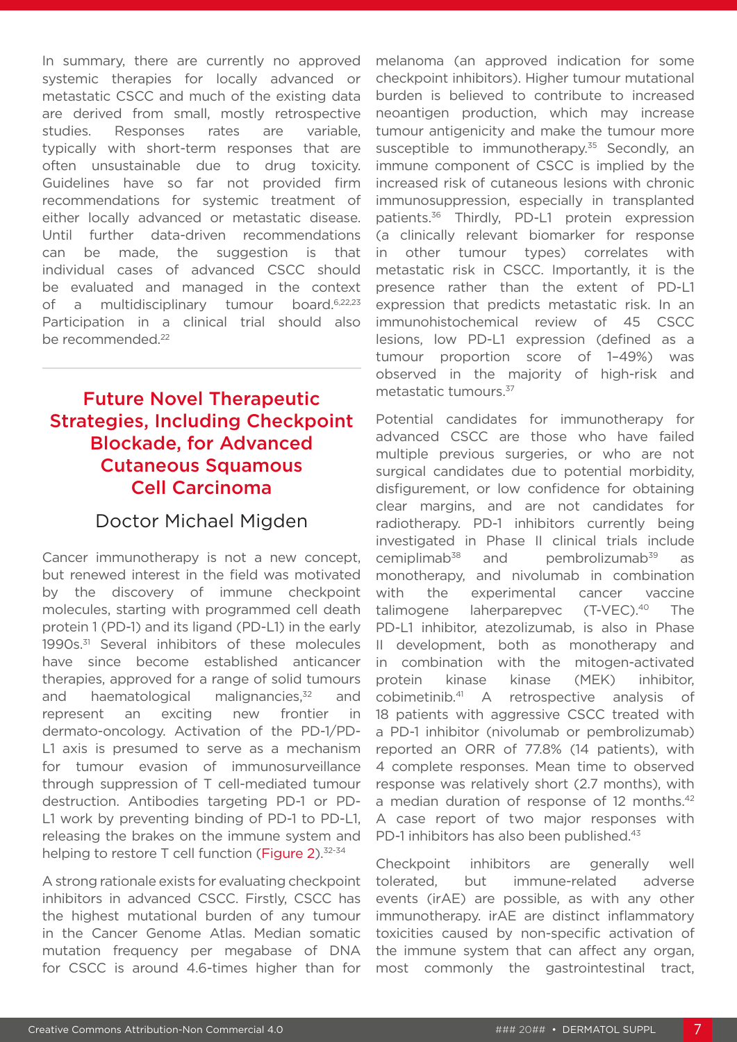In summary, there are currently no approved systemic therapies for locally advanced or metastatic CSCC and much of the existing data are derived from small, mostly retrospective studies. Responses rates are variable, typically with short-term responses that are often unsustainable due to drug toxicity. Guidelines have so far not provided firm recommendations for systemic treatment of either locally advanced or metastatic disease. Until further data-driven recommendations can be made, the suggestion is that individual cases of advanced CSCC should be evaluated and managed in the context of a multidisciplinary tumour board.<sup>6,22,23</sup> Participation in a clinical trial should also be recommended.<sup>22</sup>

# Future Novel Therapeutic Strategies, Including Checkpoint Blockade, for Advanced Cutaneous Squamous Cell Carcinoma

### Doctor Michael Migden

Cancer immunotherapy is not a new concept, but renewed interest in the field was motivated by the discovery of immune checkpoint molecules, starting with programmed cell death protein 1 (PD-1) and its ligand (PD-L1) in the early 1990s.<sup>31</sup> Several inhibitors of these molecules have since become established anticancer therapies, approved for a range of solid tumours and haematological malignancies, $32$  and represent an exciting new frontier in dermato-oncology. Activation of the PD-1/PD-L1 axis is presumed to serve as a mechanism for tumour evasion of immunosurveillance through suppression of T cell-mediated tumour destruction. Antibodies targeting PD-1 or PD-L1 work by preventing binding of PD-1 to PD-L1, releasing the brakes on the immune system and helping to restore T cell function (Figure 2). $32-34$ 

A strong rationale exists for evaluating checkpoint inhibitors in advanced CSCC. Firstly, CSCC has the highest mutational burden of any tumour in the Cancer Genome Atlas. Median somatic mutation frequency per megabase of DNA for CSCC is around 4.6-times higher than for

melanoma (an approved indication for some checkpoint inhibitors). Higher tumour mutational burden is believed to contribute to increased neoantigen production, which may increase tumour antigenicity and make the tumour more susceptible to immunotherapy.<sup>35</sup> Secondly, an immune component of CSCC is implied by the increased risk of cutaneous lesions with chronic immunosuppression, especially in transplanted patients.36 Thirdly, PD-L1 protein expression (a clinically relevant biomarker for response in other tumour types) correlates with metastatic risk in CSCC. Importantly, it is the presence rather than the extent of PD-L1 expression that predicts metastatic risk. In an immunohistochemical review of 45 CSCC lesions, low PD-L1 expression (defined as a tumour proportion score of 1–49%) was observed in the majority of high-risk and metastatic tumours.37

Potential candidates for immunotherapy for advanced CSCC are those who have failed multiple previous surgeries, or who are not surgical candidates due to potential morbidity, disfigurement, or low confidence for obtaining clear margins, and are not candidates for radiotherapy. PD-1 inhibitors currently being investigated in Phase II clinical trials include cemiplimab<sup>38</sup> and pembrolizumab<sup>39</sup> as monotherapy, and nivolumab in combination with the experimental cancer vaccine talimogene laherparepvec (T-VEC).<sup>40</sup> The PD-L1 inhibitor, atezolizumab, is also in Phase II development, both as monotherapy and in combination with the mitogen-activated protein kinase kinase (MEK) inhibitor, cobimetinib.41 A retrospective analysis of 18 patients with aggressive CSCC treated with a PD-1 inhibitor (nivolumab or pembrolizumab) reported an ORR of 77.8% (14 patients), with 4 complete responses. Mean time to observed response was relatively short (2.7 months), with a median duration of response of 12 months.<sup>42</sup> A case report of two major responses with PD-1 inhibitors has also been published.<sup>43</sup>

Checkpoint inhibitors are generally well tolerated, but immune-related adverse events (irAE) are possible, as with any other immunotherapy. irAE are distinct inflammatory toxicities caused by non-specific activation of the immune system that can affect any organ, most commonly the gastrointestinal tract,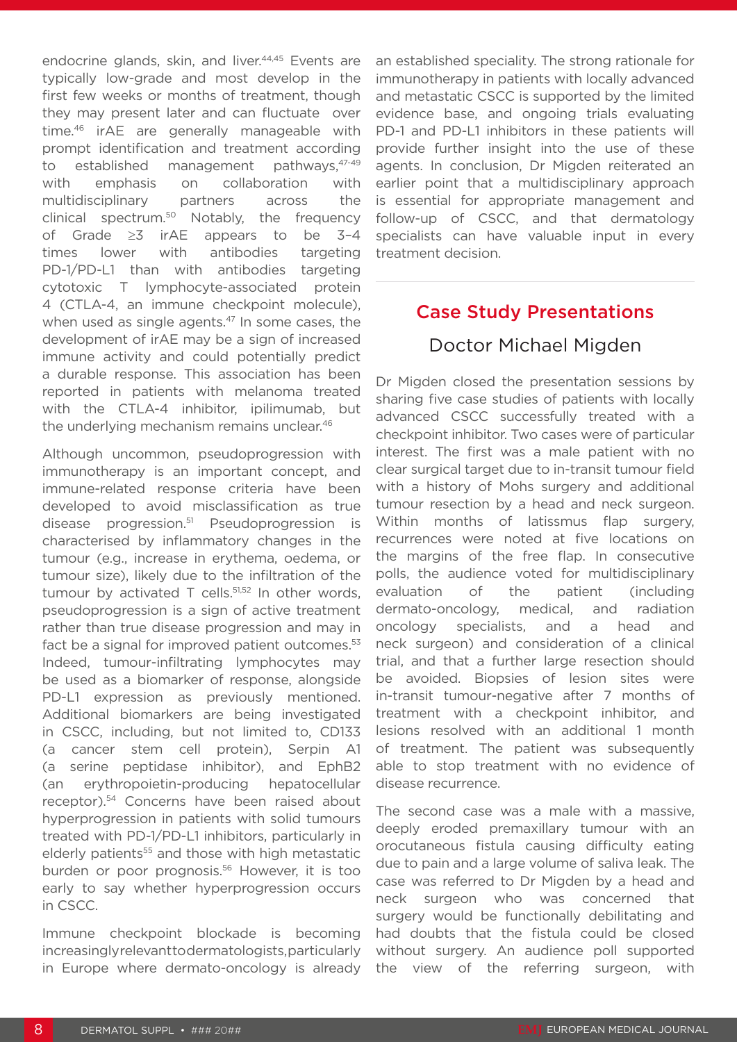endocrine glands, skin, and liver.<sup>44,45</sup> Events are typically low-grade and most develop in the first few weeks or months of treatment, though they may present later and can fluctuate over time.46 irAE are generally manageable with prompt identification and treatment according to established management pathways, 47-49 with emphasis on collaboration with multidisciplinary partners across the clinical spectrum.50 Notably, the frequency of Grade ≥3 irAE appears to be 3–4 times lower with antibodies targeting PD-1/PD-L1 than with antibodies targeting cytotoxic T lymphocyte-associated protein 4 (CTLA-4, an immune checkpoint molecule), when used as single agents.<sup>47</sup> In some cases, the development of irAE may be a sign of increased immune activity and could potentially predict a durable response. This association has been reported in patients with melanoma treated with the CTLA-4 inhibitor, ipilimumab, but the underlying mechanism remains unclear.<sup>46</sup>

Although uncommon, pseudoprogression with immunotherapy is an important concept, and immune-related response criteria have been developed to avoid misclassification as true disease progression.51 Pseudoprogression is characterised by inflammatory changes in the tumour (e.g., increase in erythema, oedema, or tumour size), likely due to the infiltration of the tumour by activated  $T$  cells.<sup>51,52</sup> In other words, pseudoprogression is a sign of active treatment rather than true disease progression and may in fact be a signal for improved patient outcomes.<sup>53</sup> Indeed, tumour-infiltrating lymphocytes may be used as a biomarker of response, alongside PD-L1 expression as previously mentioned. Additional biomarkers are being investigated in CSCC, including, but not limited to, CD133 (a cancer stem cell protein), Serpin A1 (a serine peptidase inhibitor), and EphB2 (an erythropoietin-producing hepatocellular receptor).54 Concerns have been raised about hyperprogression in patients with solid tumours treated with PD-1/PD-L1 inhibitors, particularly in elderly patients<sup>55</sup> and those with high metastatic burden or poor prognosis.56 However, it is too early to say whether hyperprogression occurs in CSCC.

Immune checkpoint blockade is becoming increasingly relevant to dermatologists, particularly in Europe where dermato-oncology is already an established speciality. The strong rationale for immunotherapy in patients with locally advanced and metastatic CSCC is supported by the limited evidence base, and ongoing trials evaluating PD-1 and PD-L1 inhibitors in these patients will provide further insight into the use of these agents. In conclusion, Dr Migden reiterated an earlier point that a multidisciplinary approach is essential for appropriate management and follow-up of CSCC, and that dermatology specialists can have valuable input in every treatment decision.

# Case Study Presentations

### Doctor Michael Migden

Dr Migden closed the presentation sessions by sharing five case studies of patients with locally advanced CSCC successfully treated with a checkpoint inhibitor. Two cases were of particular interest. The first was a male patient with no clear surgical target due to in-transit tumour field with a history of Mohs surgery and additional tumour resection by a head and neck surgeon. Within months of latissmus flap surgery, recurrences were noted at five locations on the margins of the free flap. In consecutive polls, the audience voted for multidisciplinary evaluation of the patient (including dermato-oncology, medical, and radiation oncology specialists, and a head and neck surgeon) and consideration of a clinical trial, and that a further large resection should be avoided. Biopsies of lesion sites were in-transit tumour-negative after 7 months of treatment with a checkpoint inhibitor, and lesions resolved with an additional 1 month of treatment. The patient was subsequently able to stop treatment with no evidence of disease recurrence.

The second case was a male with a massive, deeply eroded premaxillary tumour with an orocutaneous fistula causing difficulty eating due to pain and a large volume of saliva leak. The case was referred to Dr Migden by a head and neck surgeon who was concerned that surgery would be functionally debilitating and had doubts that the fistula could be closed without surgery. An audience poll supported the view of the referring surgeon, with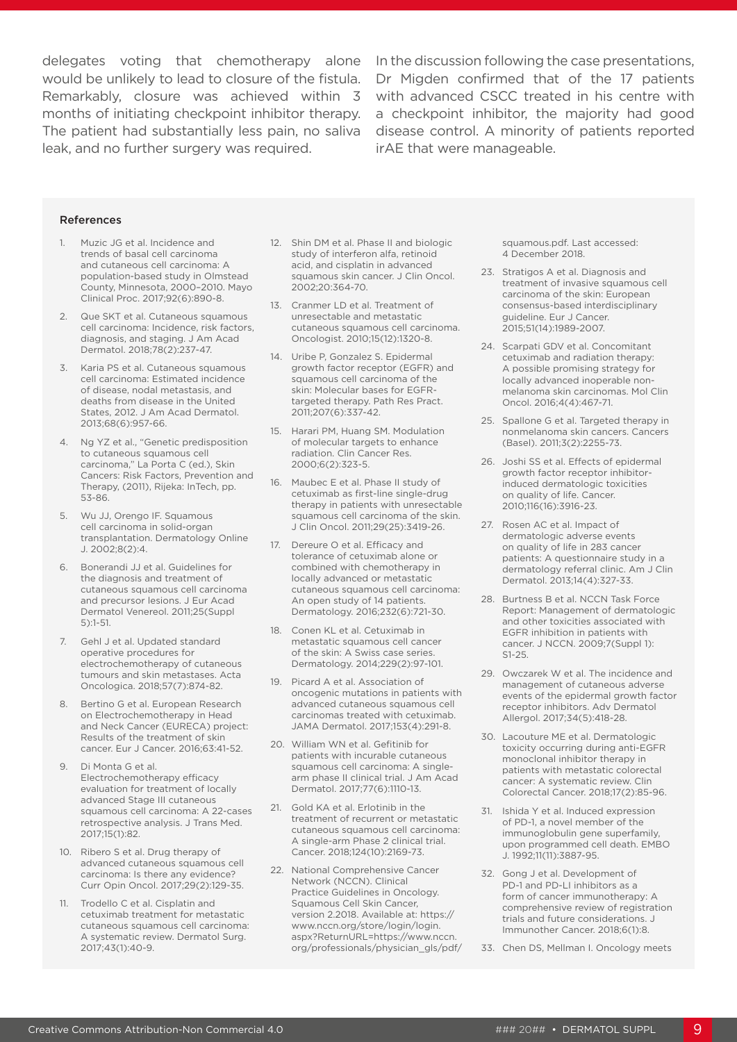months of initiating checkpoint inhibitor therapy. leak, and no further surgery was required.

delegates voting that chemotherapy alone In the discussion following the case presentations, would be unlikely to lead to closure of the fistula. Dr Migden confirmed that of the 17 patients Remarkably, closure was achieved within 3 with advanced CSCC treated in his centre with The patient had substantially less pain, no saliva disease control. A minority of patients reported a checkpoint inhibitor, the majority had good irAE that were manageable.

#### References

- 1. Muzic JG et al. Incidence and trends of basal cell carcinoma and cutaneous cell carcinoma: A population-based study in Olmstead County, Minnesota, 2000–2010. Mayo Clinical Proc. 2017;92(6):890-8.
- 2. Que SKT et al. Cutaneous squamous cell carcinoma: Incidence, risk factors, diagnosis, and staging. J Am Acad Dermatol. 2018;78(2):237-47.
- 3. Karia PS et al. Cutaneous squamous cell carcinoma: Estimated incidence of disease, nodal metastasis, and deaths from disease in the United States, 2012. J Am Acad Dermatol. 2013;68(6):957-66.
- 4. Ng YZ et al., "Genetic predisposition to cutaneous squamous cell carcinoma," La Porta C (ed.), Skin Cancers: Risk Factors, Prevention and Therapy, (2011), Rijeka: InTech, pp. 53-86.
- 5. Wu JJ, Orengo IF. Squamous cell carcinoma in solid-organ transplantation. Dermatology Online J. 2002;8(2):4.
- 6. Bonerandi JJ et al. Guidelines for the diagnosis and treatment of cutaneous squamous cell carcinoma and precursor lesions. J Eur Acad Dermatol Venereol. 2011;25(Suppl 5):1-51.
- 7. Gehl J et al. Updated standard operative procedures for electrochemotherapy of cutaneous tumours and skin metastases. Acta Oncologica. 2018;57(7):874-82.
- 8. Bertino G et al. European Research on Electrochemotherapy in Head and Neck Cancer (EURECA) project: Results of the treatment of skin cancer. Eur J Cancer. 2016;63:41-52.
- 9. Di Monta G et al. Electrochemotherapy efficacy evaluation for treatment of locally advanced Stage III cutaneous squamous cell carcinoma: A 22-cases retrospective analysis. J Trans Med. 2017;15(1):82.
- 10. Ribero S et al. Drug therapy of advanced cutaneous squamous cell carcinoma: Is there any evidence? Curr Opin Oncol. 2017;29(2):129-35.
- 11. Trodello C et al. Cisplatin and cetuximab treatment for metastatic cutaneous squamous cell carcinoma: A systematic review. Dermatol Surg. 2017;43(1):40-9.
- 12. Shin DM et al. Phase II and biologic study of interferon alfa, retinoid acid, and cisplatin in advanced squamous skin cancer. J Clin Oncol. 2002;20:364-70.
- 13. Cranmer LD et al. Treatment of unresectable and metastatic cutaneous squamous cell carcinoma. Oncologist. 2010;15(12):1320-8.
- 14. Uribe P, Gonzalez S. Epidermal growth factor receptor (EGFR) and squamous cell carcinoma of the skin: Molecular bases for EGFRtargeted therapy. Path Res Pract. 2011;207(6):337-42.
- 15. Harari PM, Huang SM. Modulation of molecular targets to enhance radiation. Clin Cancer Res. 2000;6(2):323-5.
- 16. Maubec E et al. Phase II study of cetuximab as first-line single-drug therapy in patients with unresectable squamous cell carcinoma of the skin. J Clin Oncol. 2011;29(25):3419-26.
- 17. Dereure O et al. Efficacy and tolerance of cetuximab alone or combined with chemotherapy in locally advanced or metastatic cutaneous squamous cell carcinoma: An open study of 14 patients. Dermatology. 2016;232(6):721-30.
- 18. Conen KL et al. Cetuximab in metastatic squamous cell cancer of the skin: A Swiss case series. Dermatology. 2014;229(2):97-101.
- 19. Picard A et al. Association of oncogenic mutations in patients with advanced cutaneous squamous cell carcinomas treated with cetuximab. JAMA Dermatol. 2017;153(4):291-8.
- 20. William WN et al. Gefitinib for patients with incurable cutaneous squamous cell carcinoma: A singlearm phase II clinical trial. J Am Acad Dermatol. 2017;77(6):1110-13.
- 21. Gold KA et al. Erlotinib in the treatment of recurrent or metastatic cutaneous squamous cell carcinoma: A single-arm Phase 2 clinical trial. Cancer. 2018;124(10):2169-73.
- 22. National Comprehensive Cancer Network (NCCN). Clinical Practice Guidelines in Oncology. Squamous Cell Skin Cancer, version 2.2018. Available at: https:// www.nccn.org/store/login/login. aspx?ReturnURL=https://www.nccn. org/professionals/physician\_gls/pdf/

squamous.pdf. Last accessed: 4 December 2018.

- 23. Stratigos A et al. Diagnosis and treatment of invasive squamous cell carcinoma of the skin: European consensus-based interdisciplinary guideline. Eur J Cancer. 2015;51(14):1989-2007.
- 24. Scarpati GDV et al. Concomitant cetuximab and radiation therapy: A possible promising strategy for locally advanced inoperable nonmelanoma skin carcinomas. Mol Clin Oncol. 2016;4(4):467-71.
- 25. Spallone G et al. Targeted therapy in nonmelanoma skin cancers. Cancers (Basel). 2011;3(2):2255-73.
- 26. Joshi SS et al. Effects of epidermal growth factor receptor inhibitorinduced dermatologic toxicities on quality of life. Cancer. 2010;116(16):3916-23.
- 27. Rosen AC et al. Impact of dermatologic adverse events on quality of life in 283 cancer patients: A questionnaire study in a dermatology referral clinic. Am J Clin Dermatol. 2013;14(4):327-33.
- 28. Burtness B et al. NCCN Task Force Report: Management of dermatologic and other toxicities associated with EGFR inhibition in patients with cancer. J NCCN. 2009;7(Suppl 1): S1-25.
- 29. Owczarek W et al. The incidence and management of cutaneous adverse events of the epidermal growth factor receptor inhibitors. Adv Dermatol Allergol. 2017;34(5):418-28.
- 30. Lacouture ME et al. Dermatologic toxicity occurring during anti-EGFR monoclonal inhibitor therapy in patients with metastatic colorectal cancer: A systematic review. Clin Colorectal Cancer. 2018;17(2):85-96.
- 31. Ishida Y et al. Induced expression of PD-1, a novel member of the immunoglobulin gene superfamily, upon programmed cell death. EMBO J. 1992;11(11):3887-95.
- 32. Gong J et al. Development of PD-1 and PD-LI inhibitors as a form of cancer immunotherapy: A comprehensive review of registration trials and future considerations. J Immunother Cancer. 2018;6(1):8.
- 33. Chen DS, Mellman I. Oncology meets